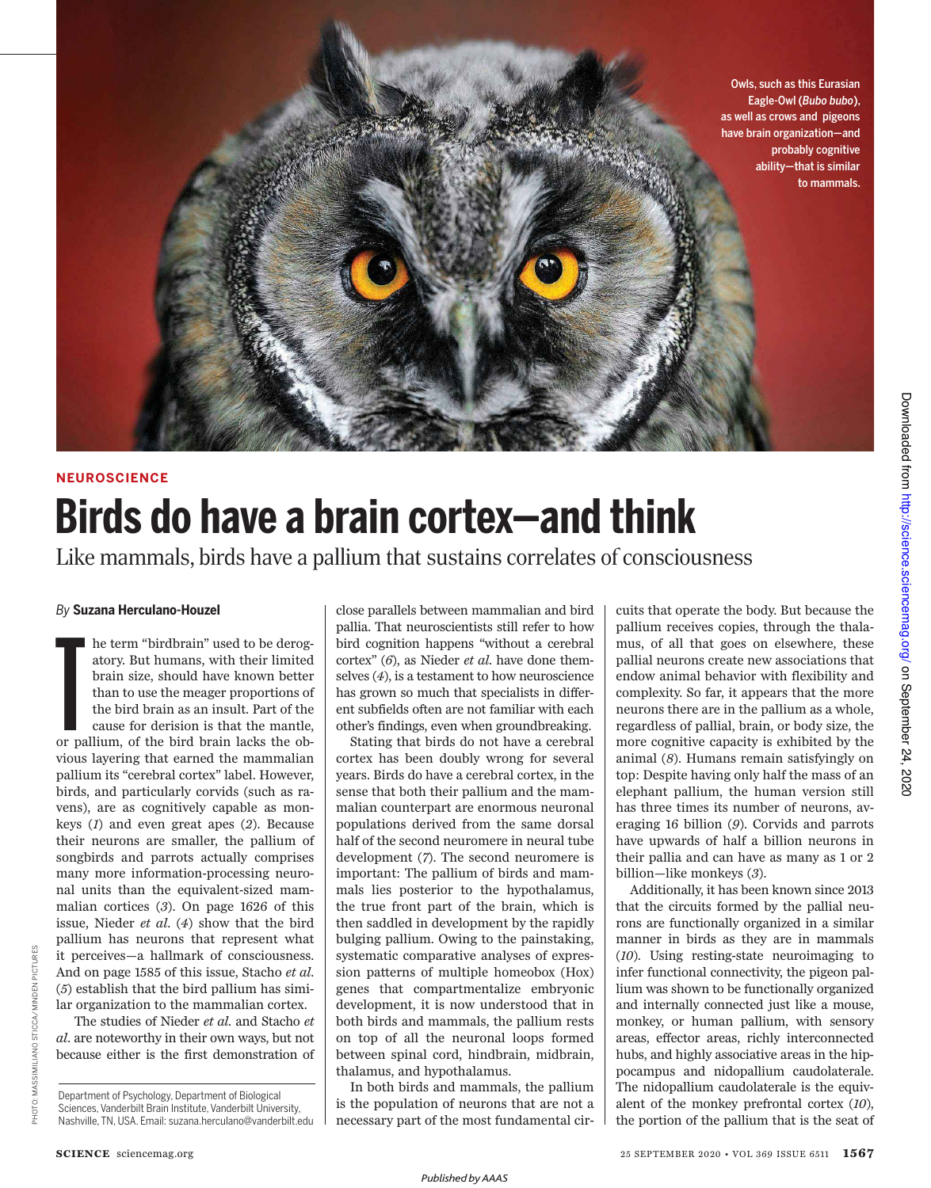Owls, such as this Eurasian Eagle-Owl (*Bubo bubo*), as well as crows and pigeons have brain organization—and probably cognitive ability—that is similar to mammals.

## **NEUROSCIENCE Birds do have a brain cortex—and think**

Like mammals, birds have a pallium that sustains correlates of consciousness

### *By* **Suzana Herculano-Houzel**

 $\frac{1}{2}$   $\frac{1}{2}$   $\frac{1}{2}$   $\frac{1}{2}$   $\frac{1}{2}$   $\frac{1}{2}$   $\frac{1}{2}$   $\frac{1}{2}$   $\frac{1}{2}$   $\frac{1}{2}$   $\frac{1}{2}$   $\frac{1}{2}$   $\frac{1}{2}$   $\frac{1}{2}$   $\frac{1}{2}$   $\frac{1}{2}$   $\frac{1}{2}$   $\frac{1}{2}$   $\frac{1}{2}$   $\frac{1}{2}$   $\frac{1}{2}$   $\frac{1}{2}$  he term "birdbrain" used to be derogatory. But humans, with their limited brain size, should have known better than to use the meager proportions of the bird brain as an insult. Part of the cause for derision is that the mantle, or pallium, of the bird brain lacks the obvious layering that earned the mammalian pallium its "cerebral cortex" label. However, birds, and particularly corvids (such as ravens), are as cognitively capable as monkeys (*1*) and even great apes (*2*). Because their neurons are smaller, the pallium of songbirds and parrots actually comprises many more information-processing neuronal units than the equivalent-sized mammalian cortices (*3*). On page 1626 of this issue, Nieder *et al*. (*4*) show that the bird pallium has neurons that represent what it perceives—a hallmark of consciousness. And on page 1585 of this issue, Stacho *et al*. (*5*) establish that the bird pallium has similar organization to the mammalian cortex.

 The studies of Nieder *et al*. and Stacho *et al.* are noteworthy in their own ways, but not because either is the first demonstration of close parallels between mammalian and bird pallia. That neuroscientists still refer to how bird cognition happens "without a cerebral cortex" (*6*), as Nieder *et al*. have done themselves (*4*), is a testament to how neuroscience has grown so much that specialists in different subfields often are not familiar with each other's findings, even when groundbreaking.

Stating that birds do not have a cerebral cortex has been doubly wrong for several years. Birds do have a cerebral cortex, in the sense that both their pallium and the mammalian counterpart are enormous neuronal populations derived from the same dorsal half of the second neuromere in neural tube development (*7*). The second neuromere is important: The pallium of birds and mammals lies posterior to the hypothalamus, the true front part of the brain, which is then saddled in development by the rapidly bulging pallium. Owing to the painstaking, systematic comparative analyses of expression patterns of multiple homeobox (Hox) genes that compartmentalize embryonic development, it is now understood that in both birds and mammals, the pallium rests on top of all the neuronal loops formed between spinal cord, hindbrain, midbrain, thalamus, and hypothalamus.

In both birds and mammals, the pallium is the population of neurons that are not a necessary part of the most fundamental cir-

cuits that operate the body. But because the pallium receives copies, through the thalamus, of all that goes on elsewhere, these pallial neurons create new associations that endow animal behavior with flexibility and complexity. So far, it appears that the more neurons there are in the pallium as a whole, regardless of pallial, brain, or body size, the more cognitive capacity is exhibited by the animal (*8*). Humans remain satisfyingly on top: Despite having only half the mass of an elephant pallium, the human version still has three times its number of neurons, averaging 16 billion (*9*). Corvids and parrots have upwards of half a billion neurons in their pallia and can have as many as 1 or 2 billion—like monkeys (*3*).

Additionally, it has been known since 2013 that the circuits formed by the pallial neurons are functionally organized in a similar manner in birds as they are in mammals (*10*). Using resting-state neuroimaging to infer functional connectivity, the pigeon pallium was shown to be functionally organized and internally connected just like a mouse, monkey, or human pallium, with sensory areas, effector areas, richly interconnected hubs, and highly associative areas in the hippocampus and nidopallium caudolaterale. The nidopallium caudolaterale is the equivalent of the monkey prefrontal cortex (*10*), the portion of the pallium that is the seat of

PHOTOIR ZENING STATINISS STORES STORES

PHOTO: MASSIMILIANO STICCA/MINDEN PICTURES

Department of Psychology, Department of Biological Sciences, Vanderbilt Brain Institute, Vanderbilt University, Nashville, TN, USA. Email: suzana.herculano@vanderbilt.edu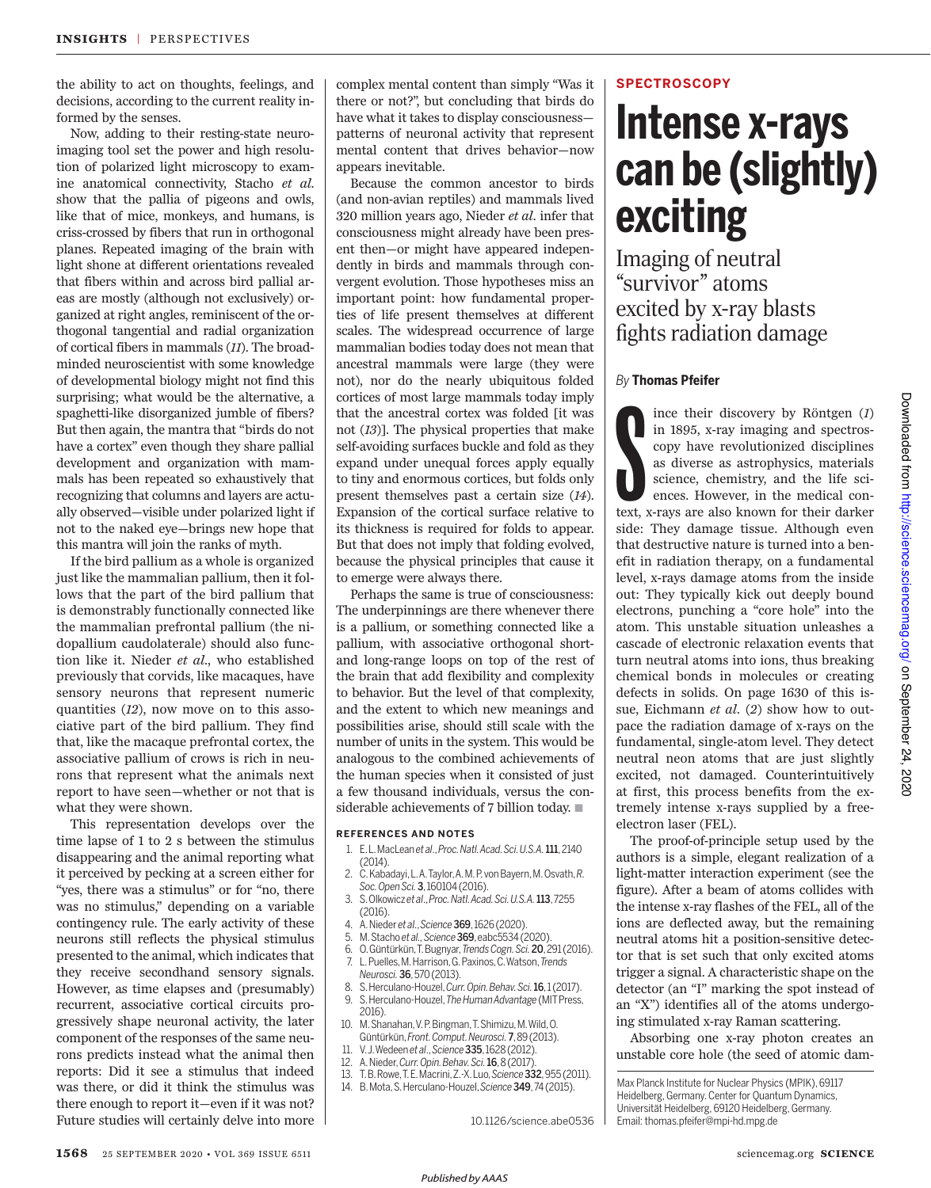the ability to act on thoughts, feelings, and decisions, according to the current reality informed by the senses.

Now, adding to their resting-state neuroimaging tool set the power and high resolution of polarized light microscopy to examine anatomical connectivity, Stacho *et al*. show that the pallia of pigeons and owls, like that of mice, monkeys, and humans, is criss-crossed by fibers that run in orthogonal planes. Repeated imaging of the brain with light shone at different orientations revealed that fibers within and across bird pallial areas are mostly (although not exclusively) organized at right angles, reminiscent of the orthogonal tangential and radial organization of cortical fibers in mammals (*11*). The broadminded neuroscientist with some knowledge of developmental biology might not find this surprising; what would be the alternative, a spaghetti-like disorganized jumble of fibers? But then again, the mantra that "birds do not have a cortex" even though they share pallial development and organization with mammals has been repeated so exhaustively that recognizing that columns and layers are actually observed—visible under polarized light if not to the naked eye—brings new hope that this mantra will join the ranks of myth.

If the bird pallium as a whole is organized just like the mammalian pallium, then it follows that the part of the bird pallium that is demonstrably functionally connected like the mammalian prefrontal pallium (the nidopallium caudolaterale) should also function like it. Nieder *et al*., who established previously that corvids, like macaques, have sensory neurons that represent numeric quantities (*12*), now move on to this associative part of the bird pallium. They find that, like the macaque prefrontal cortex, the associative pallium of crows is rich in neurons that represent what the animals next report to have seen—whether or not that is what they were shown.

This representation develops over the time lapse of 1 to 2 s between the stimulus disappearing and the animal reporting what it perceived by pecking at a screen either for "yes, there was a stimulus" or for "no, there was no stimulus," depending on a variable contingency rule. The early activity of these neurons still reflects the physical stimulus presented to the animal, which indicates that they receive secondhand sensory signals. However, as time elapses and (presumably) recurrent, associative cortical circuits progressively shape neuronal activity, the later component of the responses of the same neurons predicts instead what the animal then reports: Did it see a stimulus that indeed was there, or did it think the stimulus was there enough to report it—even if it was not? Future studies will certainly delve into more complex mental content than simply "Was it there or not?", but concluding that birds do have what it takes to display consciousness patterns of neuronal activity that represent mental content that drives behavior—now appears inevitable.

Because the common ancestor to birds (and non-avian reptiles) and mammals lived 320 million years ago, Nieder *et al.* infer that consciousness might already have been present then—or might have appeared independently in birds and mammals through convergent evolution. Those hypotheses miss an important point: how fundamental properties of life present themselves at different scales. The widespread occurrence of large mammalian bodies today does not mean that ancestral mammals were large (they were not), nor do the nearly ubiquitous folded cortices of most large mammals today imply that the ancestral cortex was folded [it was not (*13*)]. The physical properties that make self-avoiding surfaces buckle and fold as they expand under unequal forces apply equally to tiny and enormous cortices, but folds only present themselves past a certain size (*14*). Expansion of the cortical surface relative to its thickness is required for folds to appear. But that does not imply that folding evolved, because the physical principles that cause it to emerge were always there.

Perhaps the same is true of consciousness: The underpinnings are there whenever there is a pallium, or something connected like a pallium, with associative orthogonal shortand long-range loops on top of the rest of the brain that add flexibility and complexity to behavior. But the level of that complexity, and the extent to which new meanings and possibilities arise, should still scale with the number of units in the system. This would be analogous to the combined achievements of the human species when it consisted of just a few thousand individuals, versus the considerable achievements of 7 billion today.  $\blacksquare$ 

### **REFERENCES AND NOTES**

- 1. E. L. MacLean *et al*., *Proc. Natl. Acad. Sci. U.S.A.*111, 2140 (2014).
- 2. C. Kabadayi, L. A. Taylor, A. M. P. von Bayern, M. Osvath, *R. Soc. Open Sci.*3, 160104 (2016).
- 3. S. Olkowicz *et al*., *Proc. Natl. Acad. Sci. U.S.A.*113, 7255 (2016).
- 4. A. Nieder *et al*., *Science*369, 1626 (2020).
- 5. M. Stacho *et al., Science*369, eabc5534 (2020).
- 6. O. Güntürkün, T. Bugnyar, *Trends Cogn. Sci.*20, 291 (2016). 7. L. Puelles, M. Harrison, G. Paxinos, C. Watson, *Trends Neurosci.*36, 570 (2013).
- 8. S. Herculano-Houzel, *Curr. Opin. Behav. Sci.*16, 1 (2017).
- 9. S. Herculano-Houzel, *The Human Advantage* (MIT Press, 2016).
- 10. M. Shanahan, V. P. Bingman, T. Shimizu, M. Wild, O. Güntürkün, *Front. Comput. Neurosci.*7, 89 (2013).
- 11. V. J. Wedeen *et al*., *Science*335, 1628 (2012).
- 12. A. Nieder, *Curr. Opin. Behav. Sci.*16, 8 (2017).
- 13. T. B. Rowe, T. E. Macrini, Z.-X. Luo, *Science*332, 955 (2011).
- 14. B. Mota, S. Herculano-Houzel, *Science*349, 74 (2015).

10.1126/science.abe0536

### **SPECTROSCOPY**

# **Intense x-rays can be (slightly) exciting**

Imaging of neutral "survivor" atoms excited by x-ray blasts fights radiation damage

### *By* **Thomas Pfeifer**

S<br>S ince their discovery by Röntgen (*1*) in 1895, x-ray imaging and spectroscopy have revolutionized disciplines as diverse as astrophysics, materials science, chemistry, and the life sciences. However, in the medical context, x-rays are also known for their darker side: They damage tissue. Although even that destructive nature is turned into a benefit in radiation therapy, on a fundamental level, x-rays damage atoms from the inside out: They typically kick out deeply bound electrons, punching a "core hole" into the atom. This unstable situation unleashes a cascade of electronic relaxation events that turn neutral atoms into ions, thus breaking chemical bonds in molecules or creating defects in solids. On page 1630 of this issue, Eichmann *et al.* (*2*) show how to outpace the radiation damage of x-rays on the fundamental, single-atom level. They detect neutral neon atoms that are just slightly excited, not damaged. Counterintuitively at first, this process benefits from the extremely intense x-rays supplied by a freeelectron laser (FEL).

The proof-of-principle setup used by the authors is a simple, elegant realization of a light-matter interaction experiment (see the figure). After a beam of atoms collides with the intense x-ray flashes of the FEL, all of the ions are deflected away, but the remaining neutral atoms hit a position-sensitive detector that is set such that only excited atoms trigger a signal. A characteristic shape on the detector (an "I" marking the spot instead of an "X") identifies all of the atoms undergoing stimulated x-ray Raman scattering.

Absorbing one x-ray photon creates an unstable core hole (the seed of atomic dam-

Max Planck Institute for Nuclear Physics (MPIK), 69117 Heidelberg, Germany. Center for Quantum Dynamics, Universität Heidelberg, 69120 Heidelberg, Germany. Email: thomas.pfeifer@mpi-hd.mpg.de